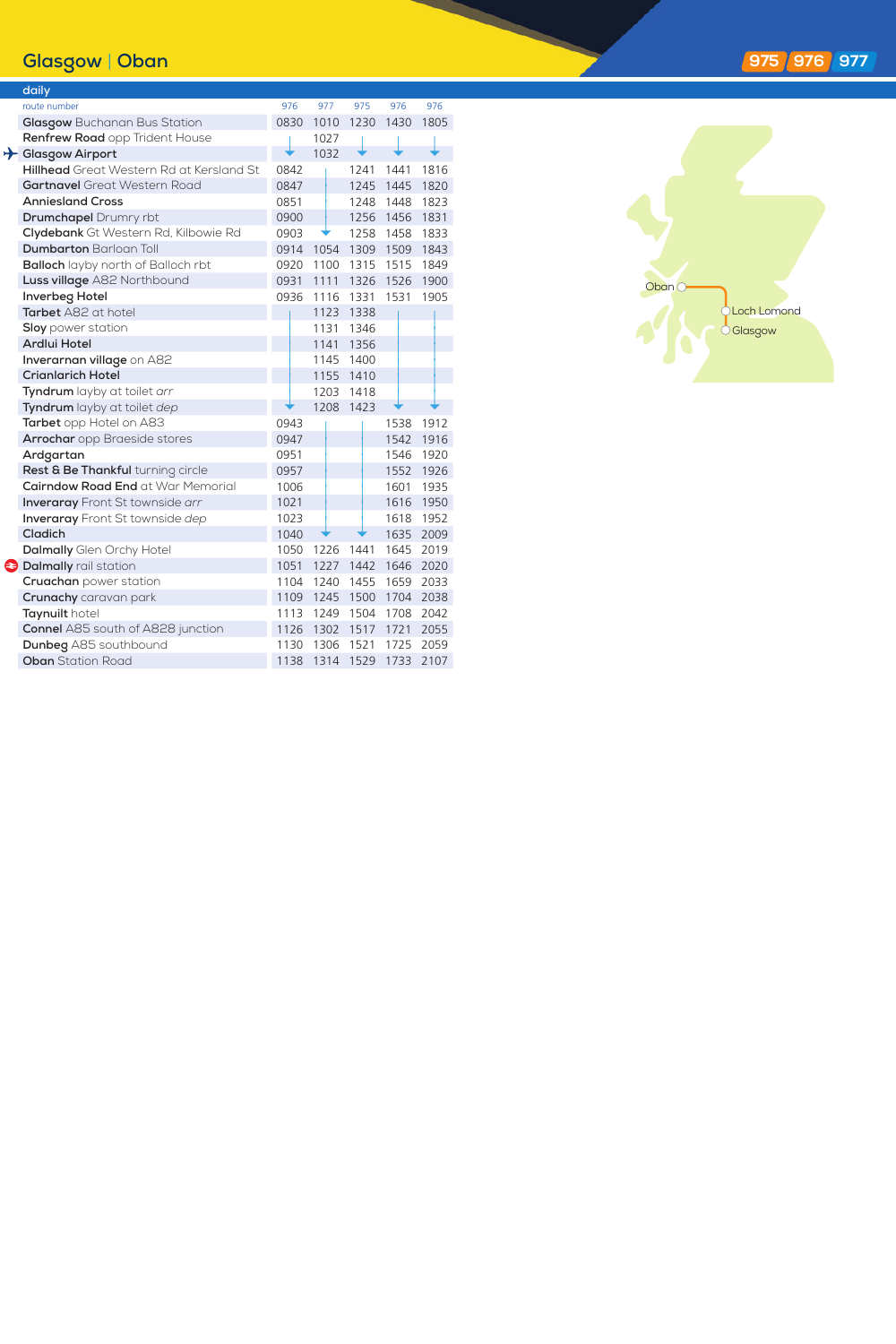## **Glasgow** | **Oban**

|  | daily                                     |      |      |      |                |      |
|--|-------------------------------------------|------|------|------|----------------|------|
|  | route number                              | 976  | 977  | 975  | 976            | 976  |
|  | Glasgow Buchanan Bus Station              | 0830 | 1010 | 1230 | 1430           | 1805 |
|  | Renfrew Road opp Trident House            |      | 1027 |      |                |      |
|  | Glasgow Airport                           |      | 1032 |      |                |      |
|  | Hillhead Great Western Rd at Kersland St  | 0842 |      | 1241 | 1441           | 1816 |
|  | <b>Gartnavel</b> Great Western Road       | 0847 |      |      | 1245 1445      | 1820 |
|  | <b>Anniesland Cross</b>                   | 0851 |      | 1248 | 1448           | 1823 |
|  | <b>Drumchapel</b> Drumry rbt              | 0900 |      |      | 1256 1456 1831 |      |
|  | Clydebank Gt Western Rd, Kilbowie Rd      | 0903 |      | 1258 | 1458           | 1833 |
|  | <b>Dumbarton Barloan Toll</b>             | 0914 | 1054 |      | 1309 1509 1843 |      |
|  | <b>Balloch</b> layby north of Balloch rbt | 0920 | 1100 | 1315 | 1515           | 1849 |
|  | Luss village A82 Northbound               | 0931 | 1111 | 1326 | 1526           | 1900 |
|  | Inverbeg Hotel                            | 0936 | 1116 | 1331 | 1531           | 1905 |
|  | Tarbet A82 at hotel                       |      | 1123 | 1338 |                |      |
|  | <b>Sloy</b> power station                 |      | 1131 | 1346 |                |      |
|  | Ardlui Hotel                              |      | 1141 | 1356 |                |      |
|  | Inverarnan village on A82                 |      | 1145 | 1400 |                |      |
|  | <b>Crianlarich Hotel</b>                  |      | 1155 | 1410 |                |      |
|  | Tyndrum layby at toilet arr               |      | 1203 | 1418 |                |      |
|  | Tyndrum layby at toilet dep               |      | 1208 | 1423 |                |      |
|  | Tarbet opp Hotel on A83                   | 0943 |      |      | 1538           | 1912 |
|  | <b>Arrochar</b> opp Braeside stores       | 0947 |      |      | 1542           | 1916 |
|  | Ardgartan                                 | 0951 |      |      | 1546           | 1920 |
|  | Rest & Be Thankful turning circle         | 0957 |      |      | 1552           | 1926 |
|  | Cairndow Road End at War Memorial         | 1006 |      |      | 1601           | 1935 |
|  | <b>Inveraray</b> Front St townside arr    | 1021 |      |      | 1616           | 1950 |
|  | <b>Inveraray</b> Front St townside dep    | 1023 |      |      | 1618           | 1952 |
|  | Cladich                                   | 1040 |      |      | 1635           | 2009 |
|  | <b>Dalmally</b> Glen Orchy Hotel          | 1050 | 1226 | 1441 | 1645           | 2019 |
|  | <b>a</b> Dalmally rail station            | 1051 | 1227 | 1442 | 1646           | 2020 |
|  | Cruachan power station                    | 1104 | 1240 | 1455 | 1659           | 2033 |
|  | Crunachy caravan park                     | 1109 | 1245 | 1500 | 1704           | 2038 |
|  | Taynuilt hotel                            | 1113 | 1249 | 1504 | 1708           | 2042 |
|  | Connel A85 south of A828 junction         | 1126 | 1302 | 1517 | 1721           | 2055 |
|  | Dunbeg A85 southbound                     | 1130 | 1306 | 1521 | 1725           | 2059 |
|  | <b>Oban</b> Station Road                  | 1138 | 1314 | 1529 | 1733           | 2107 |



## **97 5 976 977**